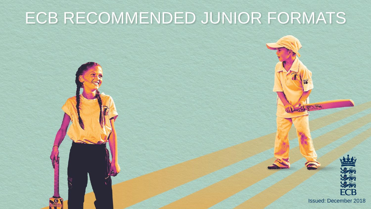## ECB RECOMMENDED JUNIOR FORMATS



Issued: December 2018

**Bo** 

D-STRIP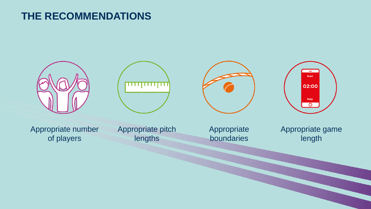## **THE RECOMMENDATIONS**

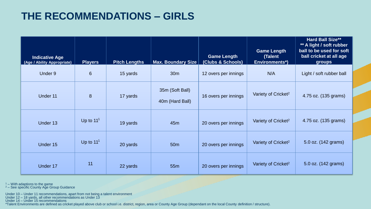## **THE RECOMMENDATIONS – GIRLS**

| <b>Indicative Age</b><br>(Age / Ability Appropriate) | <b>Players</b> | <b>Pitch Lengths</b> | <b>Max. Boundary Size</b>          | <b>Game Length</b><br>(Clubs & Schools) | <b>Game Length</b><br>(Talent<br><b>Environments*)</b> | <b>Hard Ball Size**</b><br>** A light / soft rubber<br>ball to be used for soft<br>ball cricket at all age<br>groups |
|------------------------------------------------------|----------------|----------------------|------------------------------------|-----------------------------------------|--------------------------------------------------------|----------------------------------------------------------------------------------------------------------------------|
| Under 9                                              | 6              | 15 yards             | 30 <sub>m</sub>                    | 12 overs per innings                    | N/A                                                    | Light / soft rubber ball                                                                                             |
| Under 11                                             | 8              | 17 yards             | 35m (Soft Ball)<br>40m (Hard Ball) | 16 overs per innings                    | Variety of Cricket <sup>2</sup>                        | 4.75 oz. (135 grams)                                                                                                 |
| Under 13                                             | Up to $111$    | 19 yards             | 45m                                | 20 overs per innings                    | Variety of Cricket <sup>2</sup>                        | 4.75 oz. (135 grams)                                                                                                 |
| Under 15                                             | Up to $111$    | 20 yards             | 50 <sub>m</sub>                    | 20 overs per innings                    | Variety of Cricket <sup>2</sup>                        | 5.0 oz. (142 grams)                                                                                                  |
| Under 17                                             | 11             | 22 yards             | 55 <sub>m</sub>                    | 20 overs per innings                    | Variety of Cricket <sup>2</sup>                        | 5.0 oz. (142 grams)                                                                                                  |

 $1 -$  With adaptions to the game

 $2$  – See specific County Age Group Guidance

Under 10 – Under 11 recommendations, apart from not being a talent environment

Under 12 – 18 yards, all other recommendations as Under 13

Under 14 – Under 15 recommendations

\*Talent Environments are defined as cricket played above club or school i.e. district, region, area or County Age Group (dependant on the local County definition / structure).